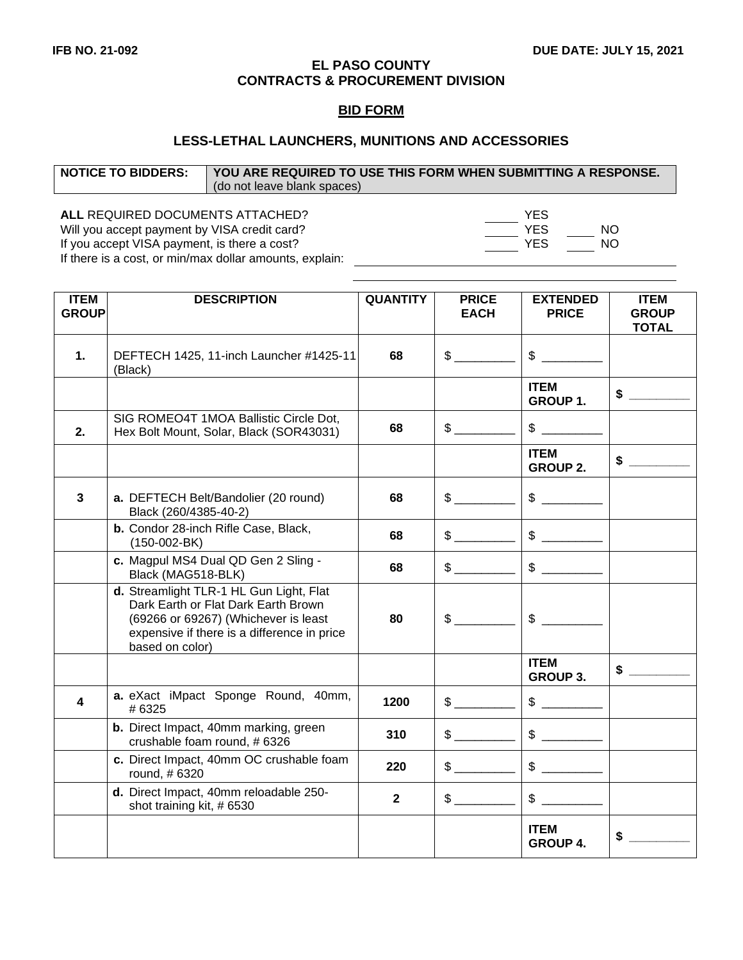#### **EL PASO COUNTY CONTRACTS & PROCUREMENT DIVISION**

### **BID FORM**

# **LESS-LETHAL LAUNCHERS, MUNITIONS AND ACCESSORIES**

| <b>NOTICE TO BIDDERS:</b> | YOU ARE REQUIRED TO USE THIS FORM WHEN SUBMITTING A RESPONSE. |  |  |  |
|---------------------------|---------------------------------------------------------------|--|--|--|
|                           | (do not leave blank spaces)                                   |  |  |  |
|                           |                                                               |  |  |  |

ALL REQUIRED DOCUMENTS ATTACHED?<br>
Will you accept payment by VISA credit card? 
YES Will you accept payment by VISA credit card? Will you accept payment by VISA credit card? If you accept VISA payment, is there a cost? YES YES NO If there is a cost, or min/max dollar amounts, explain:

| <b>ITEM</b><br><b>GROUP</b> | <b>DESCRIPTION</b>                                                                                                                                                                       | <b>QUANTITY</b> | <b>PRICE</b><br><b>EACH</b> | <b>EXTENDED</b><br><b>PRICE</b> | <b>ITEM</b><br><b>GROUP</b> |
|-----------------------------|------------------------------------------------------------------------------------------------------------------------------------------------------------------------------------------|-----------------|-----------------------------|---------------------------------|-----------------------------|
|                             |                                                                                                                                                                                          |                 |                             |                                 | <b>TOTAL</b>                |
| 1.                          | DEFTECH 1425, 11-inch Launcher #1425-11<br>(Black)                                                                                                                                       | 68              | $\frac{1}{2}$               | $\frac{1}{2}$                   |                             |
|                             |                                                                                                                                                                                          |                 |                             | <b>ITEM</b><br>GROUP 1.         | $\sim$                      |
| 2.                          | SIG ROMEO4T 1MOA Ballistic Circle Dot,<br>Hex Bolt Mount, Solar, Black (SOR43031)                                                                                                        | 68              | $\frac{1}{2}$               | $\mathbb{S}$                    |                             |
|                             |                                                                                                                                                                                          |                 |                             | <b>ITEM</b><br><b>GROUP 2.</b>  | $\frac{1}{2}$               |
| $\overline{\mathbf{3}}$     | a. DEFTECH Belt/Bandolier (20 round)<br>Black (260/4385-40-2)                                                                                                                            | 68              |                             | $\mathfrak s$                   |                             |
|                             | b. Condor 28-inch Rifle Case, Black,<br>$(150-002-BK)$                                                                                                                                   | 68              | $\frac{1}{2}$               | $\qquad \qquad \$$              |                             |
|                             | c. Magpul MS4 Dual QD Gen 2 Sling -<br>Black (MAG518-BLK)                                                                                                                                | 68              | $\mathcal{S}$               | $\frac{1}{2}$                   |                             |
|                             | d. Streamlight TLR-1 HL Gun Light, Flat<br>Dark Earth or Flat Dark Earth Brown<br>(69266 or 69267) (Whichever is least<br>expensive if there is a difference in price<br>based on color) | 80              |                             | $\frac{1}{2}$                   |                             |
|                             |                                                                                                                                                                                          |                 |                             | <b>ITEM</b><br><b>GROUP 3.</b>  | $\sim$                      |
| 4                           | a. eXact iMpact Sponge Round, 40mm,<br># 6325                                                                                                                                            | 1200            | $\frac{1}{2}$               |                                 |                             |
|                             | b. Direct Impact, 40mm marking, green<br>crushable foam round, # 6326                                                                                                                    | 310             |                             | $\frac{1}{2}$                   |                             |
|                             | c. Direct Impact, 40mm OC crushable foam<br>round, #6320                                                                                                                                 | 220             | $\frac{1}{2}$               | $\frac{1}{2}$                   |                             |
|                             | d. Direct Impact, 40mm reloadable 250-<br>shot training kit, #6530                                                                                                                       | $\mathbf{2}$    | $\mathfrak s$               | $\sim$                          |                             |
|                             |                                                                                                                                                                                          |                 |                             | <b>ITEM</b><br><b>GROUP 4.</b>  | \$                          |